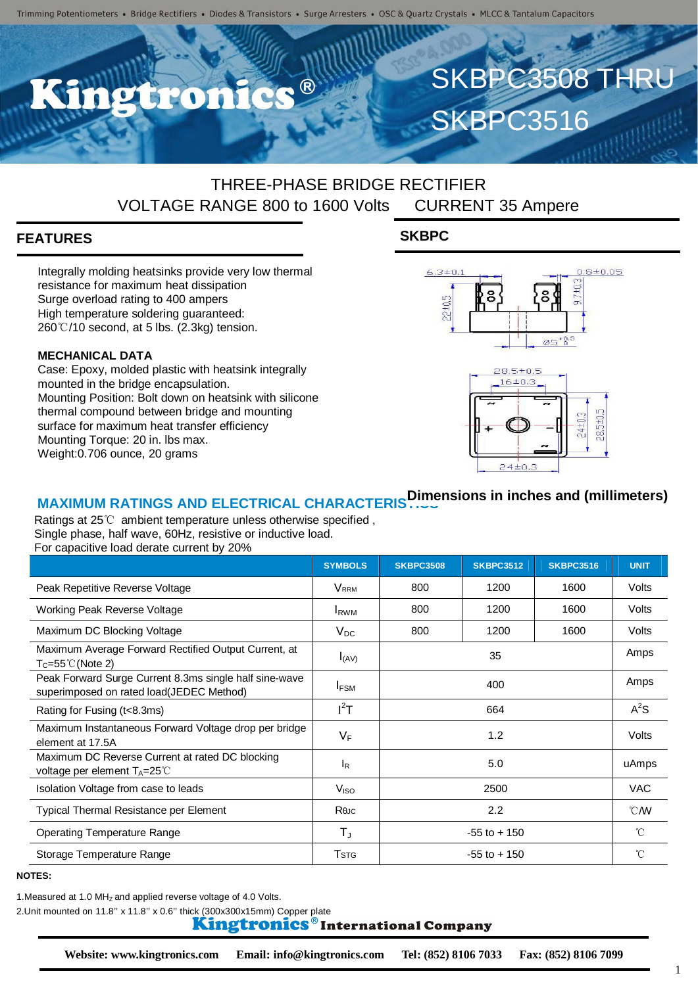$\bullet$   $\circledR$ 

## THREE-PHASE BRIDGE RECTIFIER VOLTAGE RANGE 800 to 1600 Volts CURRENT 35 Ampere

### **FEATURES**

Integrally molding heatsinks provide very low thermal resistance for maximum heat dissipation Surge overload rating to 400 ampers High temperature soldering guaranteed: 260℃/10 second, at 5 lbs. (2.3kg) tension.

#### **MECHANICAL DATA**

Case: Epoxy, molded plastic with heatsink integrally mounted in the bridge encapsulation. Mounting Position: Bolt down on heatsink with silicone thermal compound between bridge and mounting surface for maximum heat transfer efficiency Mounting Torque: 20 in. lbs max. Weight:0.706 ounce, 20 grams

### **SKBPC**



SKBPC3516

SKBPC3508 THRU



## **MAXIMUM RATINGS AND ELECTRICAL CHARACTERISTICS Dimensions in inches and (millimeters)**

Ratings at 25℃ ambient temperature unless otherwise specified , Single phase, half wave, 60Hz, resistive or inductive load. For capacitive load derate current by 20%

|                                                                                                    | <b>SYMBOLS</b>          | <b>SKBPC3508</b> | <b>SKBPC3512</b> | <b>SKBPC3516</b> | <b>UNIT</b>      |
|----------------------------------------------------------------------------------------------------|-------------------------|------------------|------------------|------------------|------------------|
| Peak Repetitive Reverse Voltage                                                                    | <b>V</b> <sub>RRM</sub> | 800              | 1200             | 1600             | Volts            |
| Working Peak Reverse Voltage                                                                       | <b>I</b> <sub>RWM</sub> | 800              | 1200             | 1600             | Volts            |
| Maximum DC Blocking Voltage                                                                        | $V_{DC}$                | 800              | 1200             | 1600             | Volts            |
| Maximum Average Forward Rectified Output Current, at<br>$T_c = 55^{\circ}$ C (Note 2)              | $I_{(AV)}$              | 35               |                  |                  | Amps             |
| Peak Forward Surge Current 8.3ms single half sine-wave<br>superimposed on rated load(JEDEC Method) | $I_{FSM}$               | 400              |                  |                  | Amps             |
| Rating for Fusing (t<8.3ms)                                                                        | $I^2T$                  | 664              |                  |                  | $A^2S$           |
| Maximum Instantaneous Forward Voltage drop per bridge<br>element at 17.5A                          | $V_F$                   | 1.2              |                  |                  | Volts            |
| Maximum DC Reverse Current at rated DC blocking<br>voltage per element $T_A = 25^{\circ}$ C        | <b>I</b> R              | 5.0              |                  |                  | uAmps            |
| Isolation Voltage from case to leads                                                               | V <sub>ISO</sub>        | 2500             |                  |                  | <b>VAC</b>       |
| Typical Thermal Resistance per Element                                                             | Reuc                    | 2.2              |                  |                  | $\mathcal{C}$ MV |
| <b>Operating Temperature Range</b>                                                                 | $T_{\rm J}$             | $-55$ to $+150$  |                  |                  | $^{\circ}$ C     |
| Storage Temperature Range                                                                          | <b>T</b> <sub>STG</sub> | $-55$ to $+150$  |                  |                  | $^{\circ}$ C     |

#### **NOTES:**

1. Measured at 1.0 MHz and applied reverse voltage of 4.0 Volts.

2.Unit mounted on 11.8" x 11.8" x 0.6" thick (300x300x15mm) Copper plate<br>**Kingtronics**® International Company

1